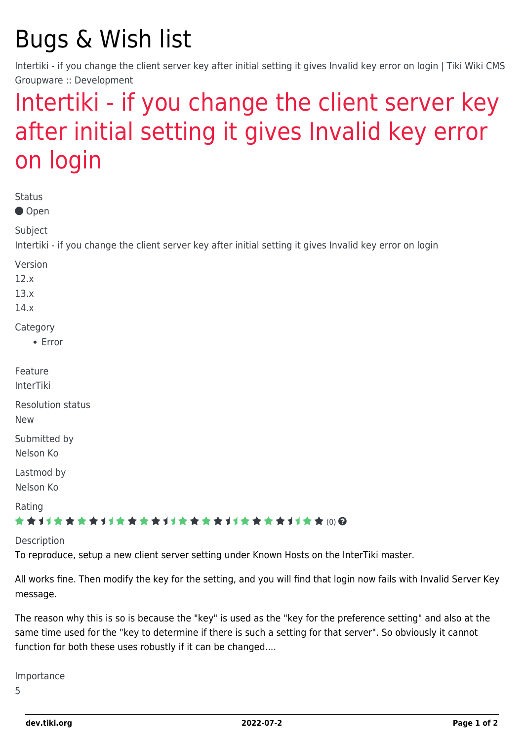## Bugs & Wish list

Intertiki - if you change the client server key after initial setting it gives Invalid key error on login | Tiki Wiki CMS Groupware :: Development

## [Intertiki - if you change the client server key](https://dev.tiki.org/item5646-Intertiki-if-you-change-the-client-server-key-after-initial-setting-it-gives-Invalid-key-error-on-login) [after initial setting it gives Invalid key error](https://dev.tiki.org/item5646-Intertiki-if-you-change-the-client-server-key-after-initial-setting-it-gives-Invalid-key-error-on-login) [on login](https://dev.tiki.org/item5646-Intertiki-if-you-change-the-client-server-key-after-initial-setting-it-gives-Invalid-key-error-on-login)

| <b>Status</b><br>● Open                                                                                              |
|----------------------------------------------------------------------------------------------------------------------|
| Subject<br>Intertiki - if you change the client server key after initial setting it gives Invalid key error on login |
| Version<br>12.x<br>13.x<br>14.x                                                                                      |
| Category<br>$\bullet$ Error                                                                                          |
| Feature<br>InterTiki                                                                                                 |
| <b>Resolution status</b><br><b>New</b>                                                                               |
| Submitted by<br>Nelson Ko                                                                                            |
| Lastmod by<br>Nelson Ko                                                                                              |
| Rating<br>★★オオ★★★★オオ★★★★オオ★★★★オオ★★★★オオ★★(0)@                                                                         |
| Description                                                                                                          |

To reproduce, setup a new client server setting under Known Hosts on the InterTiki master.

All works fine. Then modify the key for the setting, and you will find that login now fails with Invalid Server Key message.

The reason why this is so is because the "key" is used as the "key for the preference setting" and also at the same time used for the "key to determine if there is such a setting for that server". So obviously it cannot function for both these uses robustly if it can be changed....

Importance

5